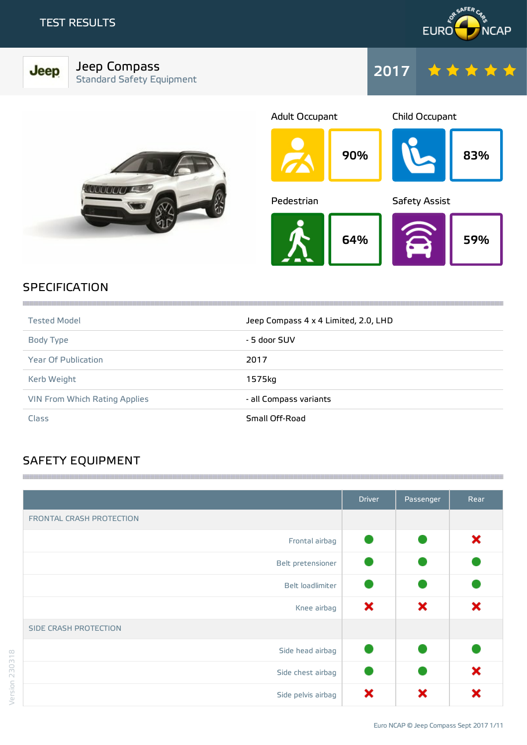Jeep



## Jeep Compass Standard Safety Equipment







## **SPECIFICATION**

| <b>Tested Model</b>           | Jeep Compass 4 x 4 Limited, 2.0, LHD |
|-------------------------------|--------------------------------------|
| Body Type                     | - 5 door SUV                         |
| <b>Year Of Publication</b>    | 2017                                 |
| Kerb Weight                   | 1575kg                               |
| VIN From Which Rating Applies | - all Compass variants               |
| Class                         | Small Off-Road                       |

## SAFETY EQUIPMENT

|                          | <b>Driver</b> | Passenger | Rear |
|--------------------------|---------------|-----------|------|
| FRONTAL CRASH PROTECTION |               |           |      |
| Frontal airbag           |               |           | ×    |
| Belt pretensioner        |               |           |      |
| Belt loadlimiter         |               |           |      |
| Knee airbag              | ×             | ×         | ×    |
| SIDE CRASH PROTECTION    |               |           |      |
| Side head airbag         |               |           |      |
| Side chest airbag        |               |           | ×    |
| Side pelvis airbag       | ×             | ×         | ×    |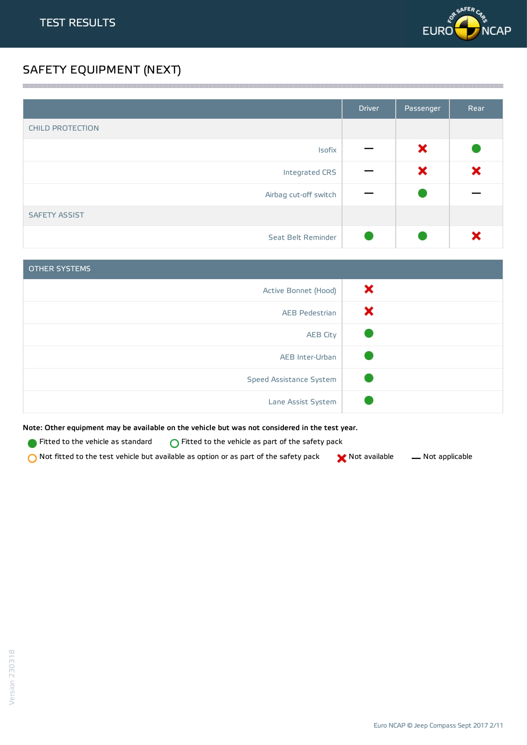

## SAFETY EQUIPMENT (NEXT)

|                         | <b>Driver</b> | Passenger | Rear |
|-------------------------|---------------|-----------|------|
| <b>CHILD PROTECTION</b> |               |           |      |
| Isofix                  |               | ×         |      |
| Integrated CRS          |               | ×         | ×    |
| Airbag cut-off switch   |               |           |      |
| <b>SAFETY ASSIST</b>    |               |           |      |
| Seat Belt Reminder      |               |           |      |

<u> 1989 - Andrea Stadt Stadt Stadt Stadt Stadt Stadt Stadt Stadt Stadt Stadt Stadt Stadt Stadt Stadt Stadt Stadt Stadt Stadt Stadt Stadt Stadt Stadt Stadt Stadt Stadt Stadt Stadt Stadt Stadt Stadt Stadt Stadt Stadt Stadt St</u>

| <b>OTHER SYSTEMS</b>    |   |
|-------------------------|---|
| Active Bonnet (Hood)    | × |
| <b>AEB Pedestrian</b>   | x |
| <b>AEB City</b>         |   |
| AEB Inter-Urban         |   |
| Speed Assistance System |   |
| Lane Assist System      |   |

Note: Other equipment may be available on the vehicle but was not considered in the test year.

**Fitted to the vehicle as standard**  $\bigcirc$  Fitted to the vehicle as part of the safety pack

 $\bigcirc$  Not fitted to the test vehicle but available as option or as part of the safety pack  $\bigcirc$  Not available  $\qquad$  Not applicable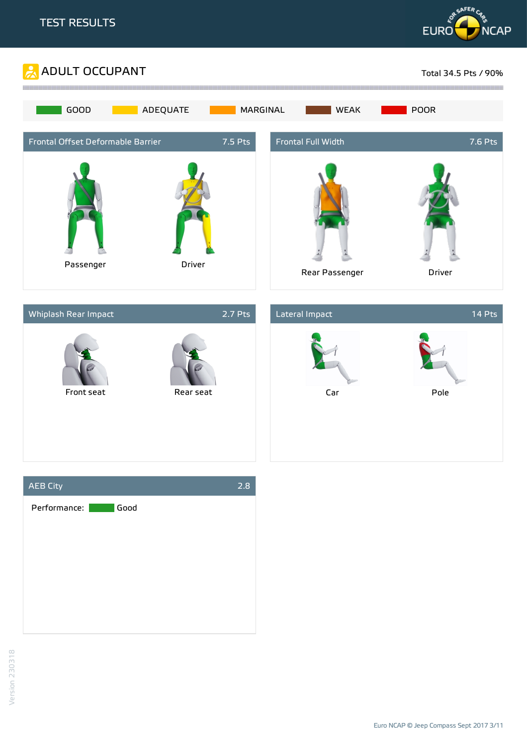







Euro NCAP ©Jeep Compass Sept 2017 3/11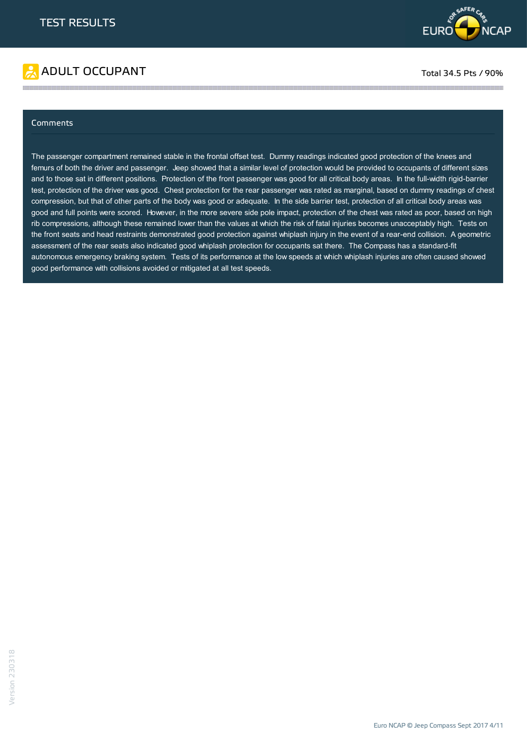

# ADULT OCCUPANT TO A RESERVE TO A RESERVE TO A RESERVE TO A RESERVE TO A RESERVE TO A RESERVE TO A RESERVE TO A

#### Comments

The passenger compartment remained stable in the frontal offset test. Dummy readings indicated good protection of the knees and femurs of both the driver and passenger. Jeep showed that a similar level of protection would be provided to occupants of different sizes and to those sat in different positions. Protection of the front passenger was good for all critical body areas. In the full-width rigid-barrier test, protection of the driver was good. Chest protection for the rear passenger was rated as marginal, based on dummy readings of chest compression, but that of other parts of the body was good or adequate. In the side barrier test, protection of all critical body areas was good and full points were scored. However, in the more severe side pole impact, protection of the chest was rated as poor, based on high rib compressions, although these remained lower than the values at which the risk of fatal injuries becomes unacceptably high. Tests on the front seats and head restraints demonstrated good protection against whiplash injury in the event of a rear-end collision. A geometric assessment of the rear seats also indicated good whiplash protection for occupants sat there. The Compass has a standard-fit autonomous emergency braking system. Tests of its performance at the low speeds at which whiplash injuries are often caused showed good performance with collisions avoided or mitigated at all test speeds.

the contract of the contract of the contract of the contract of the contract of the contract of the contract of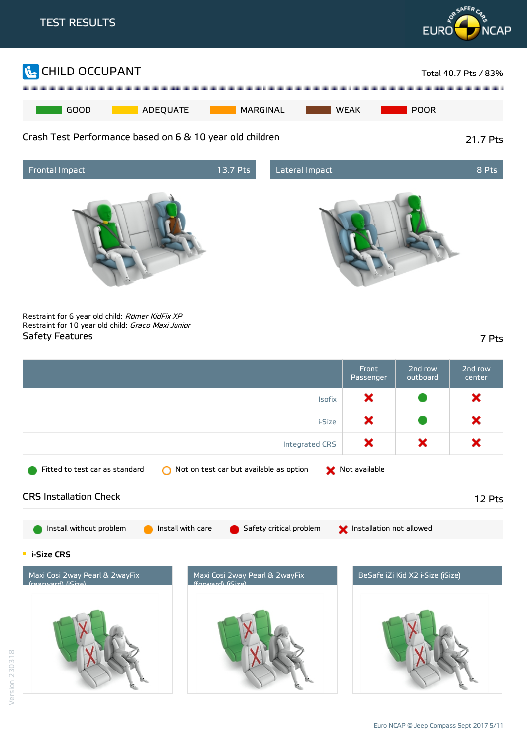





Restraint for 6 year old child: Römer KidFix XP Restraint for 10 year old child: Graco Maxi Junior Safety Features 7 Pts

|                                                                                                             | Front<br>Passenger       | 2nd row<br>outboard              | 2nd row<br>center |
|-------------------------------------------------------------------------------------------------------------|--------------------------|----------------------------------|-------------------|
| <b>Isofix</b>                                                                                               | ×                        |                                  | ×                 |
| i-Size                                                                                                      | ×                        |                                  | ×                 |
| Integrated CRS                                                                                              | ×                        | ×                                | ×                 |
| Fitted to test car as standard<br>Not on test car but available as option                                   | Not available            |                                  |                   |
| <b>CRS Installation Check</b>                                                                               |                          |                                  | 12 Pts            |
| Install without problem<br>Install with care<br>Safety critical problem                                     | Installation not allowed |                                  |                   |
| <b>E</b> i-Size CRS                                                                                         |                          |                                  |                   |
| Maxi Cosi 2way Pearl & 2wayFix<br>Maxi Cosi 2way Pearl & 2wayFix<br>(forward) (iSize)<br>(rearward) (iSize) |                          | BeSafe iZi Kid X2 i-Size (iSize) |                   |
|                                                                                                             |                          |                                  |                   |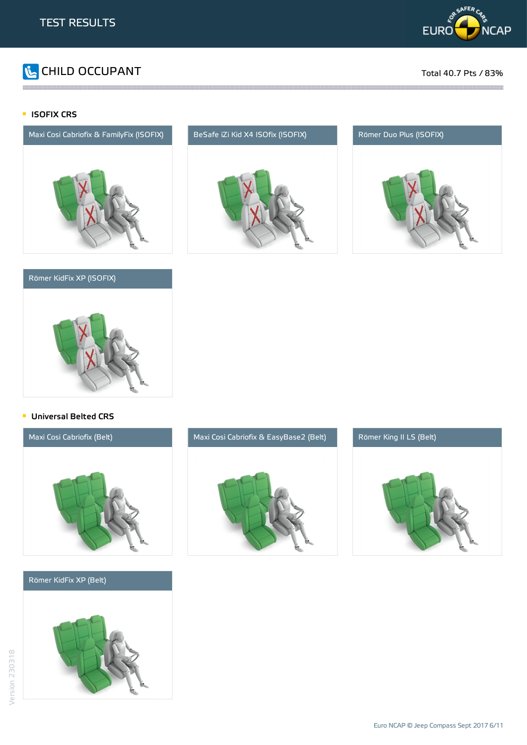

# **The CHILD OCCUPANT** Total 40.7 Pts / 83%

### **ISOFIX CRS**



### Römer KidFix XP (ISOFIX)



the contract of the contract of the contract of the contract of the contract of the contract of the contract of





#### **Universal Belted CRS**



#### Römer KidFix XP (Belt)





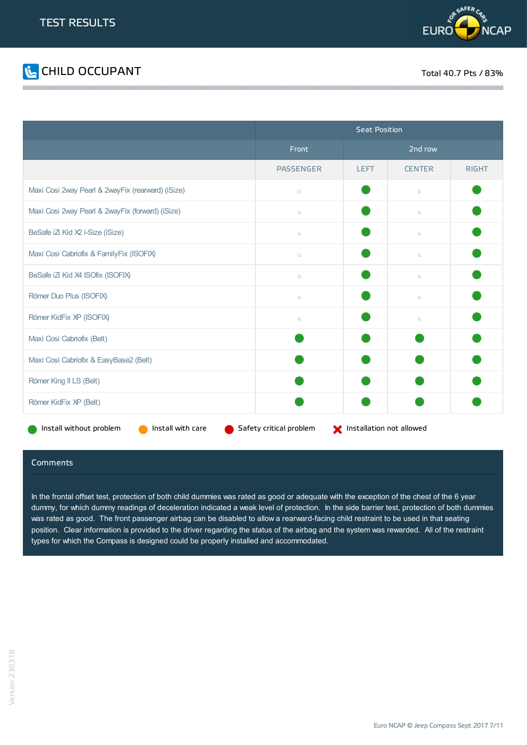



|                                                   | <b>Seat Position</b>    |                          |               |              |  |
|---------------------------------------------------|-------------------------|--------------------------|---------------|--------------|--|
|                                                   | Front                   |                          | 2nd row       |              |  |
|                                                   | <b>PASSENGER</b>        | <b>LEFT</b>              | <b>CENTER</b> | <b>RIGHT</b> |  |
| Maxi Cosi 2way Pearl & 2wayFix (rearward) (iSize) | $\Box$                  |                          | $\Box$        |              |  |
| Maxi Cosi 2way Pearl & 2wayFix (forward) (iSize)  | $\Box$                  |                          | $\Box$        |              |  |
| BeSafe iZi Kid X2 i-Size (iSize)                  | $\Box$                  |                          | $\Box$        |              |  |
| Maxi Cosi Cabriofix & FamilyFix (ISOFIX)          | $\Box$                  |                          | $\Box$        |              |  |
| BeSafe iZi Kid X4 ISOfix (ISOFIX)                 | $\Box$                  |                          | $\Box$        |              |  |
| Römer Duo Plus (ISOFIX)                           | $\Box$                  |                          | $\Box$        |              |  |
| Römer KidFix XP (ISOFIX)                          | $\Box$                  |                          | $\Box$        |              |  |
| Maxi Cosi Cabriofix (Belt)                        |                         |                          |               |              |  |
| Maxi Cosi Cabriofix & EasyBase2 (Belt)            |                         |                          |               |              |  |
| Römer King II LS (Belt)                           |                         |                          |               |              |  |
| Römer KidFix XP (Belt)                            |                         |                          |               |              |  |
| Install without problem<br>Install with care      | Safety critical problem | Installation not allowed |               |              |  |

#### **Comments**

In the frontal offset test, protection of both child dummies was rated as good or adequate with the exception of the chest of the 6 year dummy, for which dummy readings of deceleration indicated a weak level of protection. In the side barrier test, protection of both dummies was rated as good. The front passenger airbag can be disabled to allow a rearward-facing child restraint to be used in that seating position. Clear information is provided to the driver regarding the status of the airbag and the system was rewarded. All of the restraint types for which the Compass is designed could be properly installed and accommodated.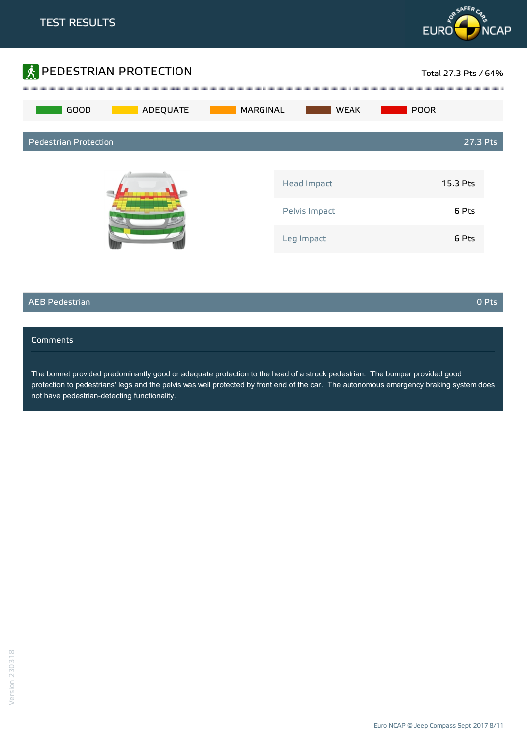



#### AEB Pedestrian 0 Pts

#### **Comments**

The bonnet provided predominantly good or adequate protection to the head of a struck pedestrian. The bumper provided good protection to pedestrians' legs and the pelvis was well protected by front end of the car. The autonomous emergency braking system does not have pedestrian-detecting functionality.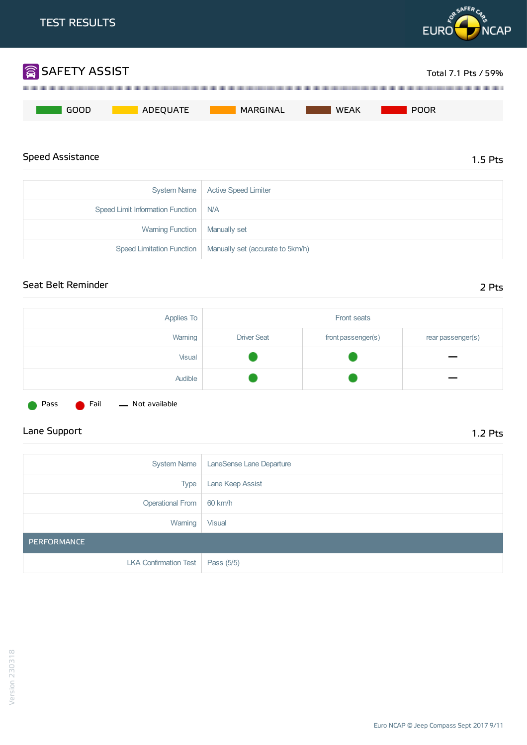

Warning Function | Manually set

Speed Limitation Function | Manually set (accurate to 5km/h)

## Seat Belt Reminder 2 Pts

| Applies To | Front seats        |                    |                   |
|------------|--------------------|--------------------|-------------------|
| Warning    | <b>Driver Seat</b> | front passenger(s) | rear passenger(s) |
| Visual     |                    |                    |                   |
| Audible    |                    |                    |                   |

Pass **C** Fail - Not available

## Lane Support 1.2 Pts

| System Name                        | LaneSense Lane Departure |
|------------------------------------|--------------------------|
| <b>Type</b>                        | Lane Keep Assist         |
| Operational From                   | 60 km/h                  |
| Warning                            | <b>Visual</b>            |
| PERFORMANCE                        |                          |
| LKA Confirmation Test   Pass (5/5) |                          |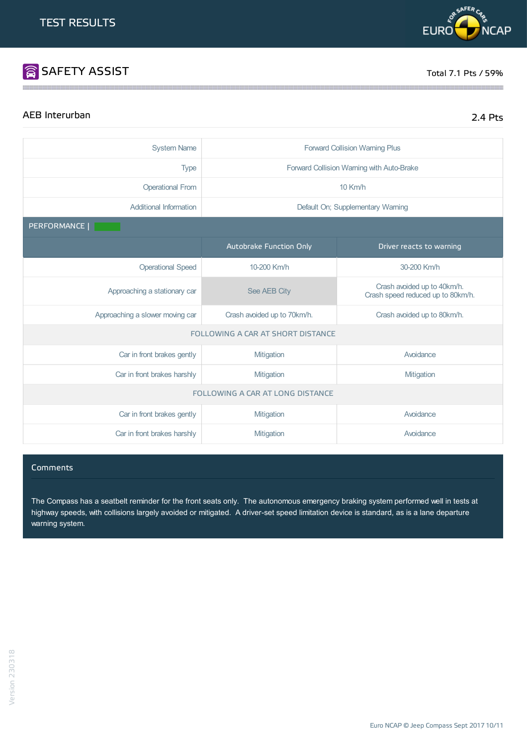# SAFETY ASSIST TOTAL TOTAL TOTAL TOTAL TOTAL TOTAL TOTAL TOTAL TOTAL TOTAL TOTAL TOTAL TOTAL TOTAL TOTAL TOTAL TOTAL TOTAL TOTAL TOTAL TOTAL TOTAL TOTAL TOTAL TOTAL TOTAL TOTAL TOTAL TOTAL TOTAL TOTAL TOTAL TOTAL TOTAL TOTA

## AEB Interurban 2.4 Pts

| <b>System Name</b>               | <b>Forward Collision Warning Plus</b>                      |                                                                  |  |  |
|----------------------------------|------------------------------------------------------------|------------------------------------------------------------------|--|--|
| <b>Type</b>                      | Forward Collision Warning with Auto-Brake                  |                                                                  |  |  |
| <b>Operational From</b>          |                                                            | $10$ Km/h                                                        |  |  |
| <b>Additional Information</b>    |                                                            | Default On; Supplementary Warning                                |  |  |
| PERFORMANCE                      |                                                            |                                                                  |  |  |
|                                  | Autobrake Function Only                                    | Driver reacts to warning                                         |  |  |
| <b>Operational Speed</b>         | 10-200 Km/h                                                | 30-200 Km/h                                                      |  |  |
| Approaching a stationary car     | See AEB City                                               | Crash avoided up to 40km/h.<br>Crash speed reduced up to 80km/h. |  |  |
| Approaching a slower moving car  | Crash avoided up to 70km/h.<br>Crash avoided up to 80km/h. |                                                                  |  |  |
|                                  | FOLLOWING A CAR AT SHORT DISTANCE                          |                                                                  |  |  |
| Car in front brakes gently       | Mitigation                                                 | Avoidance                                                        |  |  |
| Car in front brakes harshly      | Mitigation<br>Mitigation                                   |                                                                  |  |  |
| FOLLOWING A CAR AT LONG DISTANCE |                                                            |                                                                  |  |  |
| Car in front brakes gently       | Mitigation                                                 | Avoidance                                                        |  |  |
| Car in front brakes harshly      | Mitigation                                                 | Avoidance                                                        |  |  |

the contract of the contract of the contract of the contract of the contract of the contract of the contract of

#### **Comments**

The Compass has a seatbelt reminder for the front seats only. The autonomous emergency braking system performed well in tests at highway speeds, with collisions largely avoided or mitigated. A driver-set speed limitation device is standard, as is a lane departure warning system.